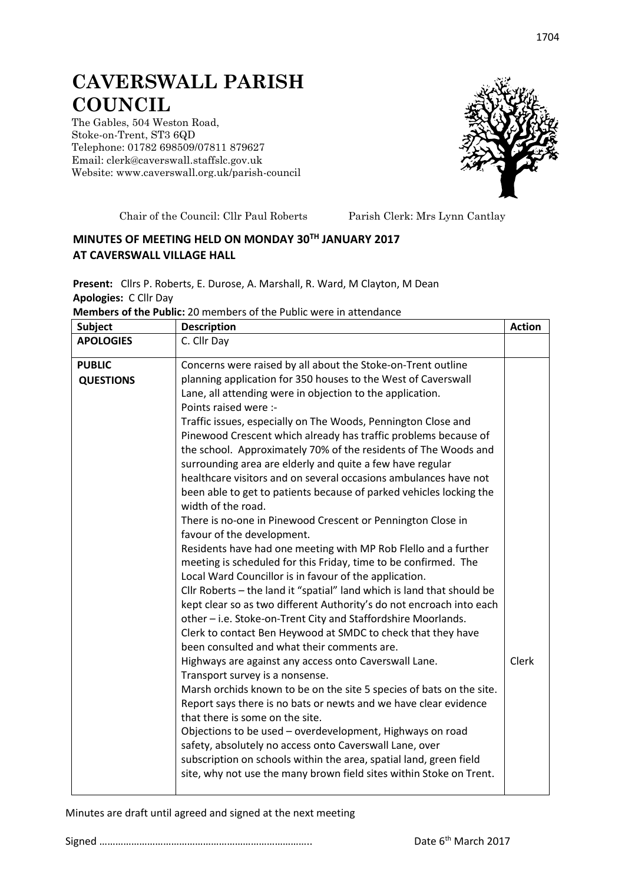## **CAVERSWALL PARISH COUNCIL**

The Gables, 504 Weston Road, Stoke-on-Trent, ST3 6QD Telephone: 01782 698509/07811 879627 Email: clerk@caverswall.staffslc.gov.uk Website: [www.c](http://www.dilhorneparishcouncil.co.uk/)averswall.org.uk/parish-council



Chair of the Council: Cllr Paul Roberts Parish Clerk: Mrs Lynn Cantlay

## **MINUTES OF MEETING HELD ON MONDAY 30TH JANUARY 2017 AT CAVERSWALL VILLAGE HALL**

**Present:** Cllrs P. Roberts, E. Durose, A. Marshall, R. Ward, M Clayton, M Dean **Apologies:** C Cllr Day

|  | <b>Members of the Public:</b> 20 members of the Public were in attendance |
|--|---------------------------------------------------------------------------|
|--|---------------------------------------------------------------------------|

| <b>Subject</b>                    | <b>Description</b>                                                                                                                                                                                                                                                                                                                                                                                                                                                                                                                                                                                                                                                                                                                                                                                                                                                                                                                                                                                                                                                                                                                                                                                                                                                                                                                                                                                                                                                                                                                                                                                                                                                                                                                                                                                                                      | <b>Action</b> |
|-----------------------------------|-----------------------------------------------------------------------------------------------------------------------------------------------------------------------------------------------------------------------------------------------------------------------------------------------------------------------------------------------------------------------------------------------------------------------------------------------------------------------------------------------------------------------------------------------------------------------------------------------------------------------------------------------------------------------------------------------------------------------------------------------------------------------------------------------------------------------------------------------------------------------------------------------------------------------------------------------------------------------------------------------------------------------------------------------------------------------------------------------------------------------------------------------------------------------------------------------------------------------------------------------------------------------------------------------------------------------------------------------------------------------------------------------------------------------------------------------------------------------------------------------------------------------------------------------------------------------------------------------------------------------------------------------------------------------------------------------------------------------------------------------------------------------------------------------------------------------------------------|---------------|
| <b>APOLOGIES</b>                  | C. Cllr Day                                                                                                                                                                                                                                                                                                                                                                                                                                                                                                                                                                                                                                                                                                                                                                                                                                                                                                                                                                                                                                                                                                                                                                                                                                                                                                                                                                                                                                                                                                                                                                                                                                                                                                                                                                                                                             |               |
| <b>PUBLIC</b><br><b>QUESTIONS</b> | Concerns were raised by all about the Stoke-on-Trent outline<br>planning application for 350 houses to the West of Caverswall<br>Lane, all attending were in objection to the application.<br>Points raised were :-<br>Traffic issues, especially on The Woods, Pennington Close and<br>Pinewood Crescent which already has traffic problems because of<br>the school. Approximately 70% of the residents of The Woods and<br>surrounding area are elderly and quite a few have regular<br>healthcare visitors and on several occasions ambulances have not<br>been able to get to patients because of parked vehicles locking the<br>width of the road.<br>There is no-one in Pinewood Crescent or Pennington Close in<br>favour of the development.<br>Residents have had one meeting with MP Rob Flello and a further<br>meeting is scheduled for this Friday, time to be confirmed. The<br>Local Ward Councillor is in favour of the application.<br>Cllr Roberts - the land it "spatial" land which is land that should be<br>kept clear so as two different Authority's do not encroach into each<br>other - i.e. Stoke-on-Trent City and Staffordshire Moorlands.<br>Clerk to contact Ben Heywood at SMDC to check that they have<br>been consulted and what their comments are.<br>Highways are against any access onto Caverswall Lane.<br>Transport survey is a nonsense.<br>Marsh orchids known to be on the site 5 species of bats on the site.<br>Report says there is no bats or newts and we have clear evidence<br>that there is some on the site.<br>Objections to be used - overdevelopment, Highways on road<br>safety, absolutely no access onto Caverswall Lane, over<br>subscription on schools within the area, spatial land, green field<br>site, why not use the many brown field sites within Stoke on Trent. | <b>Clerk</b>  |

Minutes are draft until agreed and signed at the next meeting

Signed …………………………………………………………………….. Date 6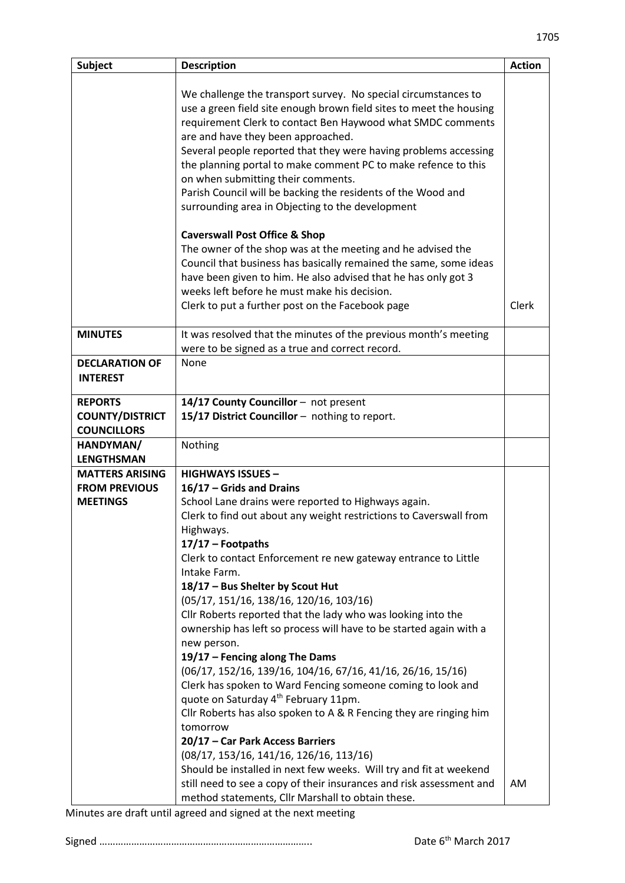| <b>Subject</b>                                                    | <b>Description</b>                                                                                                                                                                                                                                                                                                                                                                                                                                                                                                                                                                                                                                                                                                                                                                                                                                                                                                                                                                                                                                                                                                                    | <b>Action</b> |
|-------------------------------------------------------------------|---------------------------------------------------------------------------------------------------------------------------------------------------------------------------------------------------------------------------------------------------------------------------------------------------------------------------------------------------------------------------------------------------------------------------------------------------------------------------------------------------------------------------------------------------------------------------------------------------------------------------------------------------------------------------------------------------------------------------------------------------------------------------------------------------------------------------------------------------------------------------------------------------------------------------------------------------------------------------------------------------------------------------------------------------------------------------------------------------------------------------------------|---------------|
|                                                                   | We challenge the transport survey. No special circumstances to<br>use a green field site enough brown field sites to meet the housing<br>requirement Clerk to contact Ben Haywood what SMDC comments<br>are and have they been approached.<br>Several people reported that they were having problems accessing<br>the planning portal to make comment PC to make refence to this<br>on when submitting their comments.<br>Parish Council will be backing the residents of the Wood and<br>surrounding area in Objecting to the development<br><b>Caverswall Post Office &amp; Shop</b><br>The owner of the shop was at the meeting and he advised the<br>Council that business has basically remained the same, some ideas<br>have been given to him. He also advised that he has only got 3                                                                                                                                                                                                                                                                                                                                          |               |
|                                                                   | weeks left before he must make his decision.<br>Clerk to put a further post on the Facebook page                                                                                                                                                                                                                                                                                                                                                                                                                                                                                                                                                                                                                                                                                                                                                                                                                                                                                                                                                                                                                                      | Clerk         |
| <b>MINUTES</b>                                                    | It was resolved that the minutes of the previous month's meeting<br>were to be signed as a true and correct record.                                                                                                                                                                                                                                                                                                                                                                                                                                                                                                                                                                                                                                                                                                                                                                                                                                                                                                                                                                                                                   |               |
| <b>DECLARATION OF</b><br><b>INTEREST</b>                          | None                                                                                                                                                                                                                                                                                                                                                                                                                                                                                                                                                                                                                                                                                                                                                                                                                                                                                                                                                                                                                                                                                                                                  |               |
| <b>REPORTS</b><br><b>COUNTY/DISTRICT</b><br><b>COUNCILLORS</b>    | 14/17 County Councillor - not present<br>15/17 District Councillor - nothing to report.                                                                                                                                                                                                                                                                                                                                                                                                                                                                                                                                                                                                                                                                                                                                                                                                                                                                                                                                                                                                                                               |               |
| HANDYMAN/<br><b>LENGTHSMAN</b>                                    | Nothing                                                                                                                                                                                                                                                                                                                                                                                                                                                                                                                                                                                                                                                                                                                                                                                                                                                                                                                                                                                                                                                                                                                               |               |
| <b>MATTERS ARISING</b><br><b>FROM PREVIOUS</b><br><b>MEETINGS</b> | <b>HIGHWAYS ISSUES -</b><br>16/17 - Grids and Drains<br>School Lane drains were reported to Highways again.<br>Clerk to find out about any weight restrictions to Caverswall from<br>Highways.<br>$17/17$ - Footpaths<br>Clerk to contact Enforcement re new gateway entrance to Little<br>Intake Farm.<br>18/17 - Bus Shelter by Scout Hut<br>(05/17, 151/16, 138/16, 120/16, 103/16)<br>Cllr Roberts reported that the lady who was looking into the<br>ownership has left so process will have to be started again with a<br>new person.<br>19/17 - Fencing along The Dams<br>(06/17, 152/16, 139/16, 104/16, 67/16, 41/16, 26/16, 15/16)<br>Clerk has spoken to Ward Fencing someone coming to look and<br>quote on Saturday 4 <sup>th</sup> February 11pm.<br>Cllr Roberts has also spoken to A & R Fencing they are ringing him<br>tomorrow<br>20/17 - Car Park Access Barriers<br>$(08/17, 153/16, 141/16, 126/16, 113/16)$<br>Should be installed in next few weeks. Will try and fit at weekend<br>still need to see a copy of their insurances and risk assessment and<br>method statements, Cllr Marshall to obtain these. | AM            |

Minutes are draft until agreed and signed at the next meeting

Signed …………………………………………………………………….. Date 6